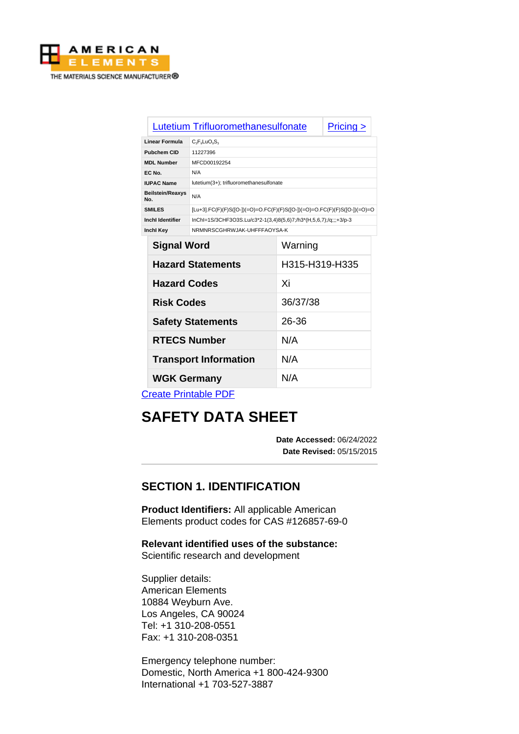

|                                | Lutetium Trifluoromethanesulfonate                                          | Pricing > |  |
|--------------------------------|-----------------------------------------------------------------------------|-----------|--|
| Linear Formula                 | $C_3F_5LuO_6S_3$                                                            |           |  |
| <b>Pubchem CID</b>             | 11227396                                                                    |           |  |
| <b>MDL Number</b>              | MFCD00192254                                                                |           |  |
| EC No.                         | N/A                                                                         |           |  |
| <b>IUPAC Name</b>              | lutetium(3+); trifluoromethanesulfonate                                     |           |  |
| <b>Beilstein/Reaxys</b><br>No. | N/A                                                                         |           |  |
| <b>SMILES</b>                  | $[Lu+3]$ .FC(F)(F)S([O-])(=O)=O.FC(F)(F)S([O-])(=O)=O.FC(F)(F)S([O-])(=O)=O |           |  |
| Inchl Identifier               | InChI=1S/3CHF3O3S.Lu/c3*2-1(3,4)8(5,6)7;/h3*(H,5,6,7);/q;;;+3/p-3           |           |  |
| <b>Inchl Key</b>               | NRMNRSCGHRWJAK-UHFFFAOYSA-K                                                 |           |  |
|                                | .                                                                           |           |  |

| <b>Signal Word</b>           | Warning        |  |  |
|------------------------------|----------------|--|--|
| <b>Hazard Statements</b>     | H315-H319-H335 |  |  |
| <b>Hazard Codes</b>          | Xi             |  |  |
| <b>Risk Codes</b>            | 36/37/38       |  |  |
| <b>Safety Statements</b>     | 26-36          |  |  |
| <b>RTECS Number</b>          | N/A            |  |  |
| <b>Transport Information</b> | N/A            |  |  |
| <b>WGK Germany</b>           | N/A            |  |  |
| __ _ _                       |                |  |  |

[Create Printable PDF](https://www.americanelements.com/printpdf/cas/126857-69-0/sds)

# **SAFETY DATA SHEET**

**Date Accessed:** 06/24/2022 **Date Revised:** 05/15/2015

# **SECTION 1. IDENTIFICATION**

**Product Identifiers:** All applicable American Elements product codes for CAS #126857-69-0

**Relevant identified uses of the substance:** Scientific research and development

Supplier details: American Elements 10884 Weyburn Ave. Los Angeles, CA 90024 Tel: +1 310-208-0551 Fax: +1 310-208-0351

Emergency telephone number: Domestic, North America +1 800-424-9300 International +1 703-527-3887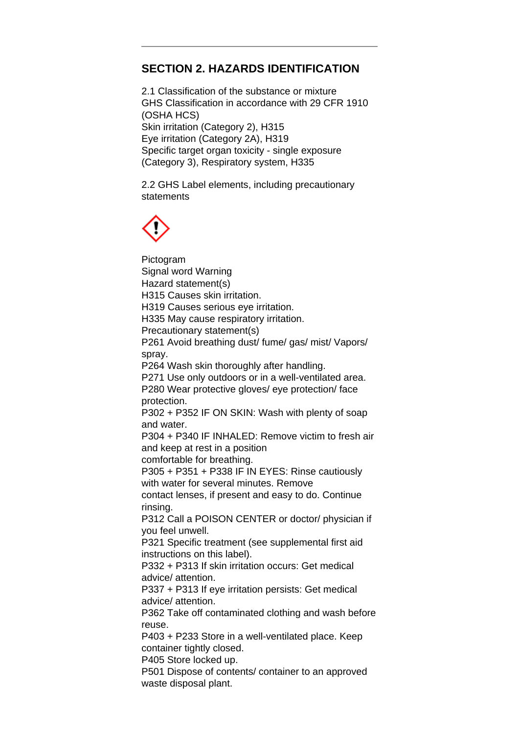# **SECTION 2. HAZARDS IDENTIFICATION**

2.1 Classification of the substance or mixture GHS Classification in accordance with 29 CFR 1910 (OSHA HCS) Skin irritation (Category 2), H315 Eye irritation (Category 2A), H319 Specific target organ toxicity - single exposure (Category 3), Respiratory system, H335

2.2 GHS Label elements, including precautionary statements



Pictogram Signal word Warning Hazard statement(s) H315 Causes skin irritation. H319 Causes serious eye irritation. H335 May cause respiratory irritation. Precautionary statement(s) P261 Avoid breathing dust/ fume/ gas/ mist/ Vapors/ spray. P264 Wash skin thoroughly after handling. P271 Use only outdoors or in a well-ventilated area. P280 Wear protective gloves/ eye protection/ face protection. P302 + P352 IF ON SKIN: Wash with plenty of soap and water. P304 + P340 IF INHALED: Remove victim to fresh air and keep at rest in a position comfortable for breathing. P305 + P351 + P338 IF IN EYES: Rinse cautiously with water for several minutes. Remove contact lenses, if present and easy to do. Continue rinsing. P312 Call a POISON CENTER or doctor/ physician if you feel unwell. P321 Specific treatment (see supplemental first aid instructions on this label). P332 + P313 If skin irritation occurs: Get medical advice/ attention. P337 + P313 If eye irritation persists: Get medical advice/ attention. P362 Take off contaminated clothing and wash before reuse. P403 + P233 Store in a well-ventilated place. Keep container tightly closed.

P405 Store locked up.

P501 Dispose of contents/ container to an approved waste disposal plant.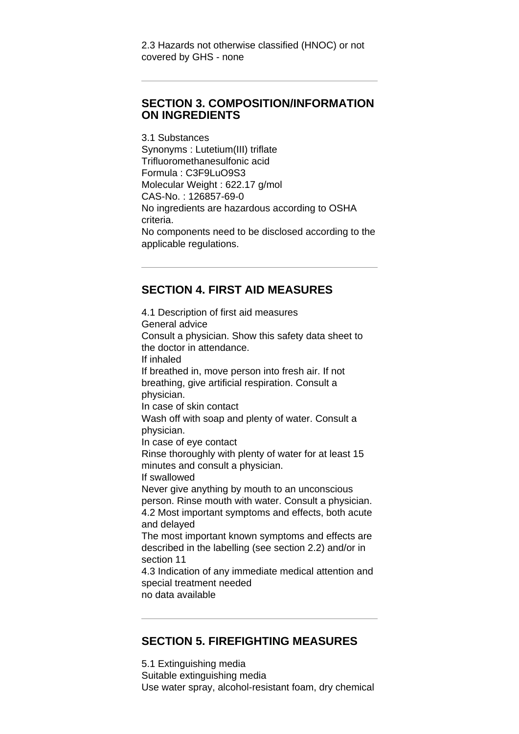#### **SECTION 3. COMPOSITION/INFORMATION ON INGREDIENTS**

3.1 Substances Synonyms : Lutetium(III) triflate Trifluoromethanesulfonic acid Formula : C3F9LuO9S3 Molecular Weight : 622.17 g/mol CAS-No. : 126857-69-0 No ingredients are hazardous according to OSHA criteria. No components need to be disclosed according to the applicable regulations.

## **SECTION 4. FIRST AID MEASURES**

4.1 Description of first aid measures General advice Consult a physician. Show this safety data sheet to the doctor in attendance. If inhaled If breathed in, move person into fresh air. If not breathing, give artificial respiration. Consult a physician. In case of skin contact Wash off with soap and plenty of water. Consult a physician. In case of eye contact Rinse thoroughly with plenty of water for at least 15 minutes and consult a physician. If swallowed Never give anything by mouth to an unconscious person. Rinse mouth with water. Consult a physician. 4.2 Most important symptoms and effects, both acute and delayed The most important known symptoms and effects are described in the labelling (see section 2.2) and/or in section 11 4.3 Indication of any immediate medical attention and special treatment needed no data available

#### **SECTION 5. FIREFIGHTING MEASURES**

5.1 Extinguishing media Suitable extinguishing media Use water spray, alcohol-resistant foam, dry chemical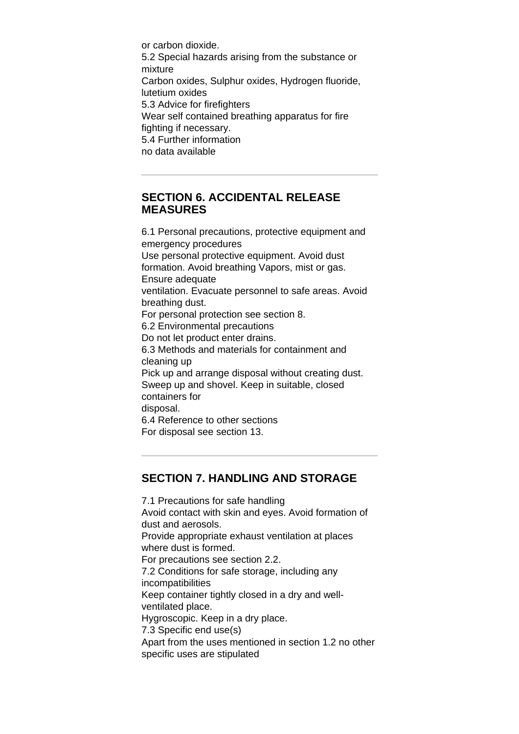or carbon dioxide. 5.2 Special hazards arising from the substance or mixture Carbon oxides, Sulphur oxides, Hydrogen fluoride, lutetium oxides 5.3 Advice for firefighters Wear self contained breathing apparatus for fire fighting if necessary. 5.4 Further information no data available

#### **SECTION 6. ACCIDENTAL RELEASE MEASURES**

6.1 Personal precautions, protective equipment and emergency procedures Use personal protective equipment. Avoid dust formation. Avoid breathing Vapors, mist or gas. Ensure adequate ventilation. Evacuate personnel to safe areas. Avoid breathing dust. For personal protection see section 8. 6.2 Environmental precautions Do not let product enter drains. 6.3 Methods and materials for containment and cleaning up Pick up and arrange disposal without creating dust. Sweep up and shovel. Keep in suitable, closed containers for disposal. 6.4 Reference to other sections For disposal see section 13.

# **SECTION 7. HANDLING AND STORAGE**

7.1 Precautions for safe handling Avoid contact with skin and eyes. Avoid formation of dust and aerosols. Provide appropriate exhaust ventilation at places where dust is formed. For precautions see section 2.2. 7.2 Conditions for safe storage, including any incompatibilities Keep container tightly closed in a dry and wellventilated place. Hygroscopic. Keep in a dry place. 7.3 Specific end use(s) Apart from the uses mentioned in section 1.2 no other specific uses are stipulated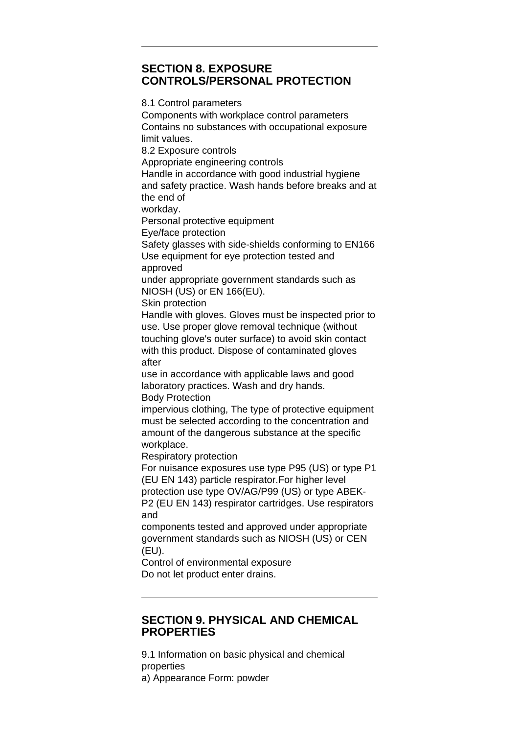## **SECTION 8. EXPOSURE CONTROLS/PERSONAL PROTECTION**

8.1 Control parameters Components with workplace control parameters Contains no substances with occupational exposure limit values. 8.2 Exposure controls Appropriate engineering controls Handle in accordance with good industrial hygiene and safety practice. Wash hands before breaks and at the end of workday. Personal protective equipment Eye/face protection Safety glasses with side-shields conforming to EN166 Use equipment for eye protection tested and approved under appropriate government standards such as NIOSH (US) or EN 166(EU). Skin protection Handle with gloves. Gloves must be inspected prior to use. Use proper glove removal technique (without touching glove's outer surface) to avoid skin contact with this product. Dispose of contaminated gloves after use in accordance with applicable laws and good laboratory practices. Wash and dry hands. Body Protection impervious clothing, The type of protective equipment must be selected according to the concentration and amount of the dangerous substance at the specific workplace. Respiratory protection For nuisance exposures use type P95 (US) or type P1 (EU EN 143) particle respirator.For higher level protection use type OV/AG/P99 (US) or type ABEK-P2 (EU EN 143) respirator cartridges. Use respirators and components tested and approved under appropriate

government standards such as NIOSH (US) or CEN (EU).

Control of environmental exposure Do not let product enter drains.

## **SECTION 9. PHYSICAL AND CHEMICAL PROPERTIES**

9.1 Information on basic physical and chemical properties a) Appearance Form: powder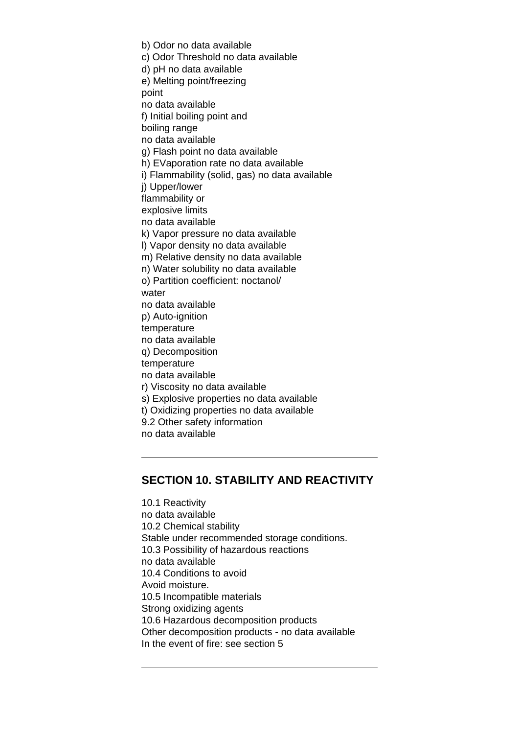b) Odor no data available c) Odor Threshold no data available d) pH no data available e) Melting point/freezing point no data available f) Initial boiling point and boiling range no data available g) Flash point no data available h) EVaporation rate no data available i) Flammability (solid, gas) no data available j) Upper/lower flammability or explosive limits no data available k) Vapor pressure no data available l) Vapor density no data available m) Relative density no data available n) Water solubility no data available o) Partition coefficient: noctanol/ water no data available p) Auto-ignition temperature no data available q) Decomposition temperature no data available r) Viscosity no data available s) Explosive properties no data available t) Oxidizing properties no data available 9.2 Other safety information no data available

## **SECTION 10. STABILITY AND REACTIVITY**

10.1 Reactivity no data available 10.2 Chemical stability Stable under recommended storage conditions. 10.3 Possibility of hazardous reactions no data available 10.4 Conditions to avoid Avoid moisture. 10.5 Incompatible materials Strong oxidizing agents 10.6 Hazardous decomposition products Other decomposition products - no data available In the event of fire: see section 5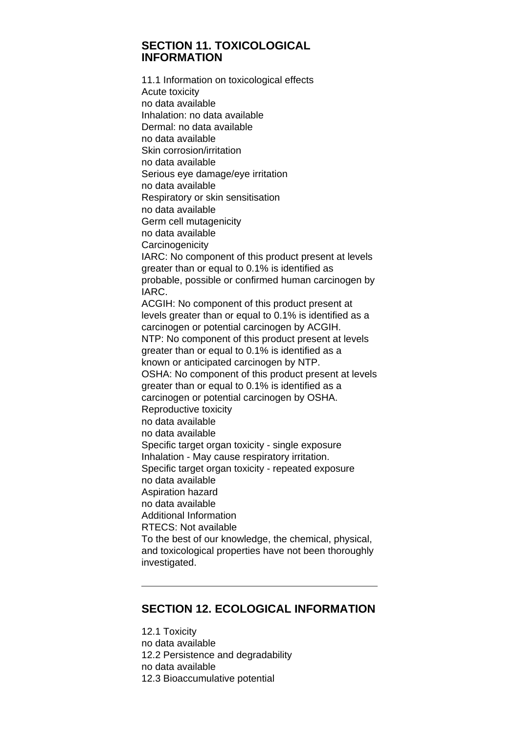#### **SECTION 11. TOXICOLOGICAL INFORMATION**

11.1 Information on toxicological effects Acute toxicity no data available Inhalation: no data available Dermal: no data available no data available Skin corrosion/irritation no data available Serious eye damage/eye irritation no data available Respiratory or skin sensitisation no data available Germ cell mutagenicity no data available **Carcinogenicity** IARC: No component of this product present at levels greater than or equal to 0.1% is identified as probable, possible or confirmed human carcinogen by IARC. ACGIH: No component of this product present at levels greater than or equal to 0.1% is identified as a carcinogen or potential carcinogen by ACGIH. NTP: No component of this product present at levels greater than or equal to 0.1% is identified as a known or anticipated carcinogen by NTP. OSHA: No component of this product present at levels greater than or equal to 0.1% is identified as a carcinogen or potential carcinogen by OSHA. Reproductive toxicity no data available no data available Specific target organ toxicity - single exposure Inhalation - May cause respiratory irritation. Specific target organ toxicity - repeated exposure no data available Aspiration hazard no data available Additional Information RTECS: Not available To the best of our knowledge, the chemical, physical, and toxicological properties have not been thoroughly investigated.

# **SECTION 12. ECOLOGICAL INFORMATION**

12.1 Toxicity no data available 12.2 Persistence and degradability no data available 12.3 Bioaccumulative potential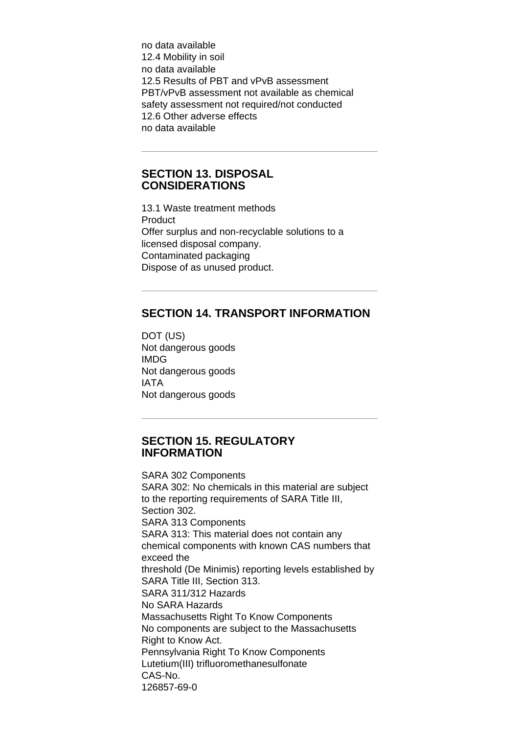no data available 12.4 Mobility in soil no data available 12.5 Results of PBT and vPvB assessment PBT/vPvB assessment not available as chemical safety assessment not required/not conducted 12.6 Other adverse effects no data available

#### **SECTION 13. DISPOSAL CONSIDERATIONS**

13.1 Waste treatment methods Product Offer surplus and non-recyclable solutions to a licensed disposal company. Contaminated packaging Dispose of as unused product.

# **SECTION 14. TRANSPORT INFORMATION**

DOT (US) Not dangerous goods IMDG Not dangerous goods IATA Not dangerous goods

#### **SECTION 15. REGULATORY INFORMATION**

SARA 302 Components SARA 302: No chemicals in this material are subject to the reporting requirements of SARA Title III, Section 302. SARA 313 Components SARA 313: This material does not contain any chemical components with known CAS numbers that exceed the threshold (De Minimis) reporting levels established by SARA Title III, Section 313. SARA 311/312 Hazards No SARA Hazards Massachusetts Right To Know Components No components are subject to the Massachusetts Right to Know Act. Pennsylvania Right To Know Components Lutetium(III) trifluoromethanesulfonate CAS-No. 126857-69-0